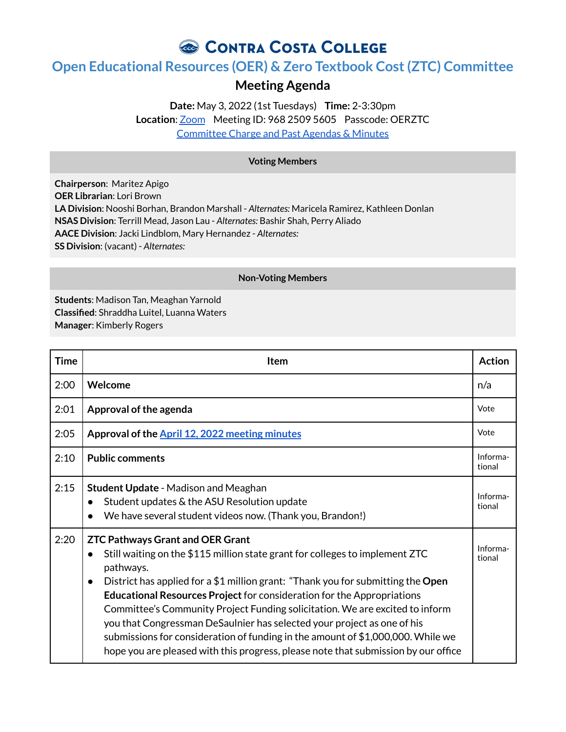# CONTRA COSTA COLLEGE

## **Open Educational Resources (OER) & Zero Textbook Cost(ZTC) Committee**

### **Meeting Agenda**

**Date:** May 3, 2022 (1st Tuesdays) **Time:** 2-3:30pm **Location**: [Zoom](https://4cd.zoom.us/j/96825095605?pwd=ekxnYlZmbWpoWnNnS3JRdnFLQUxUUT09) Meeting ID: 968 2509 5605 Passcode: OERZTC [Committee](https://www.contracosta.edu/about/administration/college-committees/open-educational-resources-oer-and-zero-textbook-cost-ztc-committee/) Charge and Past Agendas & Minutes

### **Voting Members**

**Chairperson**: Maritez Apigo **OER Librarian**: Lori Brown **LA Division**: Nooshi Borhan, Brandon Marshall - *Alternates:* Maricela Ramirez, Kathleen Donlan **NSAS Division**: Terrill Mead, Jason Lau - *Alternates:* Bashir Shah, Perry Aliado **AACE Division**: Jacki Lindblom, Mary Hernandez - *Alternates:* **SS Division**: (vacant) - *Alternates:*

#### **Non-Voting Members**

**Students**: Madison Tan, Meaghan Yarnold **Classified**: Shraddha Luitel, Luanna Waters **Manager**: Kimberly Rogers

| <b>Time</b> | <b>Item</b>                                                                                                                                                                                                                                                                                                                                                                                                                                                                                                                                                                                                                                                             | <b>Action</b>      |
|-------------|-------------------------------------------------------------------------------------------------------------------------------------------------------------------------------------------------------------------------------------------------------------------------------------------------------------------------------------------------------------------------------------------------------------------------------------------------------------------------------------------------------------------------------------------------------------------------------------------------------------------------------------------------------------------------|--------------------|
| 2:00        | Welcome                                                                                                                                                                                                                                                                                                                                                                                                                                                                                                                                                                                                                                                                 | n/a                |
| 2:01        | Approval of the agenda                                                                                                                                                                                                                                                                                                                                                                                                                                                                                                                                                                                                                                                  | Vote               |
| 2:05        | Approval of the April 12, 2022 meeting minutes                                                                                                                                                                                                                                                                                                                                                                                                                                                                                                                                                                                                                          | Vote               |
| 2:10        | <b>Public comments</b>                                                                                                                                                                                                                                                                                                                                                                                                                                                                                                                                                                                                                                                  | Informa-<br>tional |
| 2:15        | <b>Student Update - Madison and Meaghan</b><br>Student updates & the ASU Resolution update<br>$\bullet$<br>We have several student videos now. (Thank you, Brandon!)                                                                                                                                                                                                                                                                                                                                                                                                                                                                                                    | Informa-<br>tional |
| 2:20        | <b>ZTC Pathways Grant and OER Grant</b><br>Still waiting on the \$115 million state grant for colleges to implement ZTC<br>$\bullet$<br>pathways.<br>District has applied for a \$1 million grant: "Thank you for submitting the Open<br>$\bullet$<br><b>Educational Resources Project for consideration for the Appropriations</b><br>Committee's Community Project Funding solicitation. We are excited to inform<br>you that Congressman DeSaulnier has selected your project as one of his<br>submissions for consideration of funding in the amount of \$1,000,000. While we<br>hope you are pleased with this progress, please note that submission by our office | Informa-<br>tional |